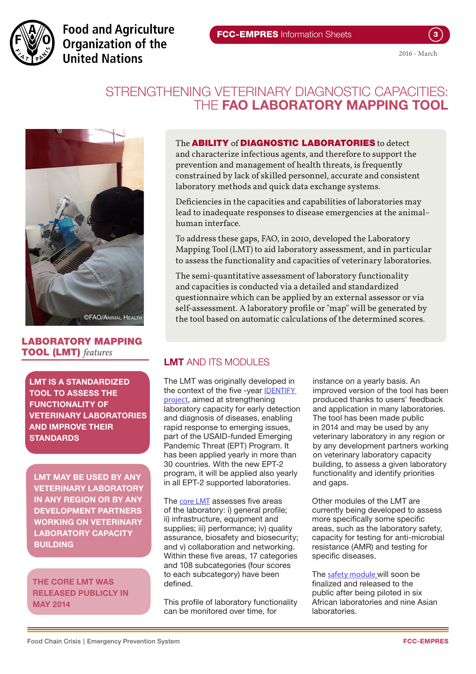

**Food and Agriculture** Organization of the **United Nations** 

## STRENGTHENING VETERINARY DIAGNOSTIC CAPACITIES: THE **FAO LABORATORY MAPPING TOOL**



## LABORATORY MAPPING TOOL (LMT) *features*

LMT IS A STANDARDIZED TOOL TO ASSESS THE FUNCTIONALITY OF VETERINARY LABORATORIES AND IMPROVE THEIR **STANDARDS** 

LMT MAY BE USED BY ANY VETERINARY LABORATORY IN ANY REGION OR BY ANY DEVELOPMENT PARTNERS WORKING ON VETERINARY LABORATORY CAPACITY BUILDING

#### THE CORE LMT WAS RELEASED PUBLICLY IN MAY 2014

#### The **ABILITY** of **DIAGNOSTIC LABORATORIES** to detect

and characterize infectious agents, and therefore to support the prevention and management of health threats, is frequently constrained by lack of skilled personnel, accurate and consistent laboratory methods and quick data exchange systems.

Deficiencies in the capacities and capabilities of laboratories may lead to inadequate responses to disease emergencies at the animal– human interface.

To address these gaps, FAO, in 2010, developed the Laboratory Mapping Tool (LMT) to aid laboratory assessment, and in particular to assess the functionality and capacities of veterinary laboratories.

The semi-quantitative assessment of laboratory functionality and capacities is conducted via a detailed and standardized questionnaire which can be applied by an external assessor or via self-assessment. A laboratory profile or "map" will be generated by the tool based on automatic calculations of the determined scores.

## LMT AND ITS MODULES

The LMT was originally developed in the context of the five -year [IDENTIFY](http://www.fao.org/ag/againfo/home/en/news_archive/AGA_in_action/2012_Emerging_Infectious_Diseases.html)  [project](http://www.fao.org/ag/againfo/home/en/news_archive/AGA_in_action/2012_Emerging_Infectious_Diseases.html), aimed at strengthening laboratory capacity for early detection and diagnosis of diseases, enabling rapid response to emerging issues, part of the USAID-funded Emerging Pandemic Threat (EPT) Program. It has been applied yearly in more than 30 countries. With the new EPT-2 program, it will be applied also yearly in all EPT-2 supported laboratories.

The [core LMT](http://www.fao.org/ag/againfo/programmes/en/empres/news_130514.html) assesses five areas of the laboratory: i) general profile; ii) infrastructure, equipment and supplies; iii) performance; iv) quality assurance, biosafety and biosecurity; and v) collaboration and networking. Within these five areas, 17 categories and 108 subcategories (four scores to each subcategory) have been defined.

This profile of laboratory functionality can be monitored over time, for

instance on a yearly basis. An improved version of the tool has been produced thanks to users' feedback and application in many laboratories. The tool has been made public in 2014 and may be used by any veterinary laboratory in any region or by any development partners working on veterinary laboratory capacity building, to assess a given laboratory functionality and identify priorities and gaps.

Other modules of the LMT are currently being developed to assess more specifically some specific areas, such as the laboratory safety, capacity for testing for anti-microbial resistance (AMR) and testing for specific diseases.

The [safety module](http://www.fao.org/ag/againfo/programmes/en/empres/news_150715b.html) will soon be finalized and released to the public after being piloted in six African laboratories and nine Asian laboratories.